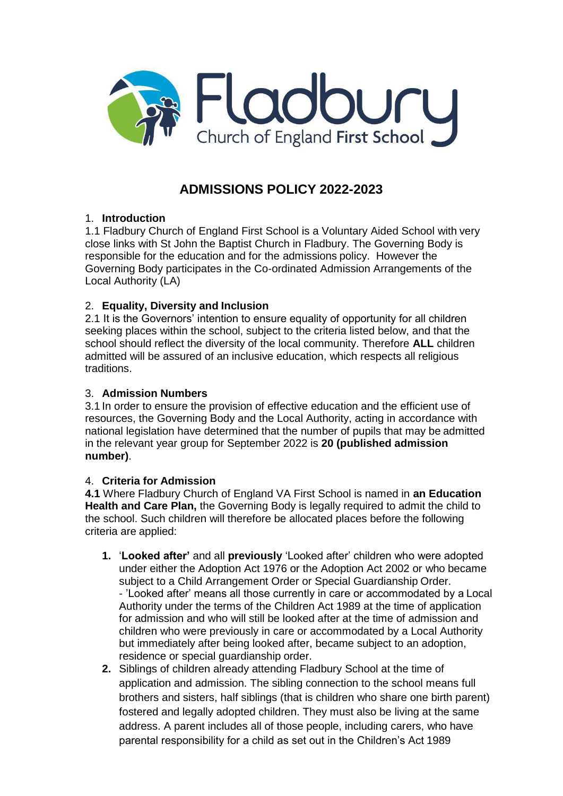

# **ADMISSIONS POLICY 2022-2023**

# 1. **Introduction**

1.1 Fladbury Church of England First School is a Voluntary Aided School with very close links with St John the Baptist Church in Fladbury. The Governing Body is responsible for the education and for the admissions policy. However the Governing Body participates in the Co-ordinated Admission Arrangements of the Local Authority (LA)

## 2. **Equality, Diversity and Inclusion**

2.1 It is the Governors' intention to ensure equality of opportunity for all children seeking places within the school, subject to the criteria listed below, and that the school should reflect the diversity of the local community. Therefore **ALL** children admitted will be assured of an inclusive education, which respects all religious traditions.

### 3. **Admission Numbers**

3.1 In order to ensure the provision of effective education and the efficient use of resources, the Governing Body and the Local Authority, acting in accordance with national legislation have determined that the number of pupils that may be admitted in the relevant year group for September 2022 is **20 (published admission number)**.

### 4. **Criteria for Admission**

**4.1** Where Fladbury Church of England VA First School is named in **an Education Health and Care Plan, the Governing Body is legally required to admit the child to** the school. Such children will therefore be allocated places before the following criteria are applied:

- **1.** '**Looked after'** and all **previously** 'Looked after' children who were adopted under either the Adoption Act 1976 or the Adoption Act 2002 or who became subject to a Child Arrangement Order or Special Guardianship Order. - 'Looked after' means all those currently in care or accommodated by a Local Authority under the terms of the Children Act 1989 at the time of application for admission and who will still be looked after at the time of admission and children who were previously in care or accommodated by a Local Authority but immediately after being looked after, became subject to an adoption, residence or special guardianship order.
- **2.** Siblings of children already attending Fladbury School at the time of application and admission. The sibling connection to the school means full brothers and sisters, half siblings (that is children who share one birth parent) fostered and legally adopted children. They must also be living at the same address. A parent includes all of those people, including carers, who have parental responsibility for a child as set out in the Children's Act 1989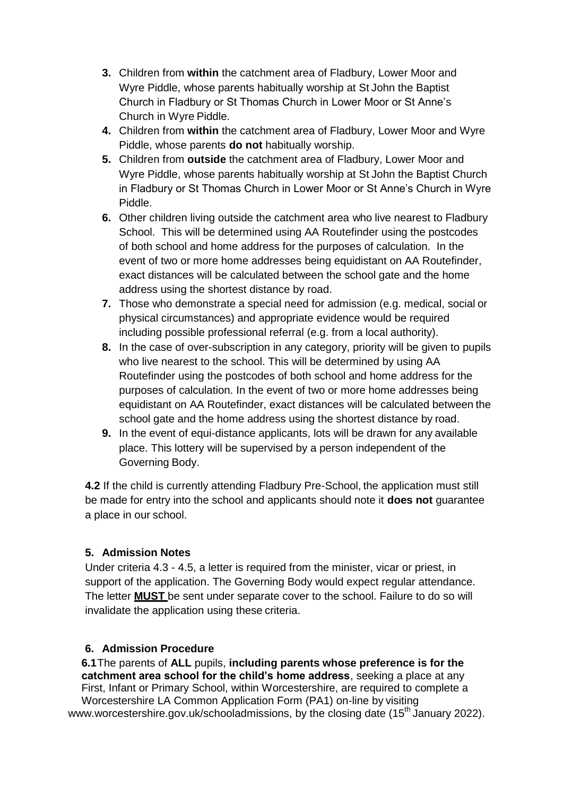- **3.** Children from **within** the catchment area of Fladbury, Lower Moor and Wyre Piddle, whose parents habitually worship at St John the Baptist Church in Fladbury or St Thomas Church in Lower Moor or St Anne's Church in Wyre Piddle.
- **4.** Children from **within** the catchment area of Fladbury, Lower Moor and Wyre Piddle, whose parents **do not** habitually worship.
- **5.** Children from **outside** the catchment area of Fladbury, Lower Moor and Wyre Piddle, whose parents habitually worship at St John the Baptist Church in Fladbury or St Thomas Church in Lower Moor or St Anne's Church in Wyre Piddle.
- **6.** Other children living outside the catchment area who live nearest to Fladbury School. This will be determined using AA Routefinder using the postcodes of both school and home address for the purposes of calculation. In the event of two or more home addresses being equidistant on AA Routefinder, exact distances will be calculated between the school gate and the home address using the shortest distance by road.
- **7.** Those who demonstrate a special need for admission (e.g. medical, social or physical circumstances) and appropriate evidence would be required including possible professional referral (e.g. from a local authority).
- **8.** In the case of over-subscription in any category, priority will be given to pupils who live nearest to the school. This will be determined by using AA Routefinder using the postcodes of both school and home address for the purposes of calculation. In the event of two or more home addresses being equidistant on AA Routefinder, exact distances will be calculated between the school gate and the home address using the shortest distance by road.
- **9.** In the event of equi-distance applicants, lots will be drawn for any available place. This lottery will be supervised by a person independent of the Governing Body.

**4.2** If the child is currently attending Fladbury Pre-School, the application must still be made for entry into the school and applicants should note it **does not** guarantee a place in our school.

# **5. Admission Notes**

Under criteria 4.3 - 4.5, a letter is required from the minister, vicar or priest, in support of the application. The Governing Body would expect regular attendance. The letter **MUST** be sent under separate cover to the school. Failure to do so will invalidate the application using these criteria.

# **6. Admission Procedure**

**6.1**The parents of **ALL** pupils, **including parents whose preference is for the catchment area school for the child's home address**, seeking a place at any First, Infant or Primary School, within Worcestershire, are required to complete a Worcestershire LA Common Application Form (PA1) on-line by visiting

[www.worcestershire.gov.uk/schooladmissions,](http://www.worcestershire.gov.uk/schooladmissions) by the closing date (15<sup>th</sup> January 2022).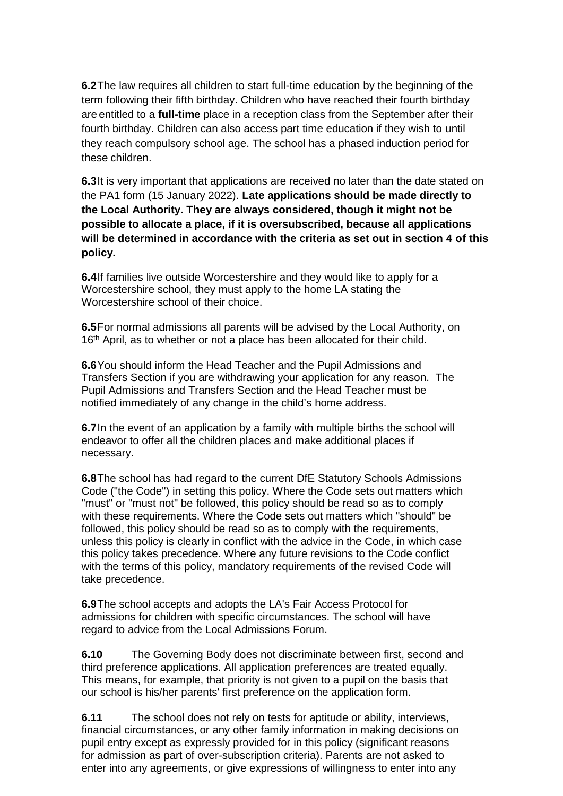**6.2**The law requires all children to start full-time education by the beginning of the term following their fifth birthday. Children who have reached their fourth birthday are entitled to a **full-time** place in a reception class from the September after their fourth birthday. Children can also access part time education if they wish to until they reach compulsory school age. The school has a phased induction period for these children.

**6.3**It is very important that applications are received no later than the date stated on the PA1 form (15 January 2022). **Late applications should be made directly to the Local Authority. They are always considered, though it might not be possible to allocate a place, if it is oversubscribed, because all applications will be determined in accordance with the criteria as set out in section 4 of this policy.**

**6.4**If families live outside Worcestershire and they would like to apply for a Worcestershire school, they must apply to the home LA stating the Worcestershire school of their choice.

**6.5**For normal admissions all parents will be advised by the Local Authority, on 16<sup>th</sup> April, as to whether or not a place has been allocated for their child.

**6.6**You should inform the Head Teacher and the Pupil Admissions and Transfers Section if you are withdrawing your application for any reason. The Pupil Admissions and Transfers Section and the Head Teacher must be notified immediately of any change in the child's home address.

**6.7**In the event of an application by a family with multiple births the school will endeavor to offer all the children places and make additional places if necessary.

**6.8**The school has had regard to the current DfE Statutory Schools Admissions Code ("the Code") in setting this policy. Where the Code sets out matters which "must" or "must not" be followed, this policy should be read so as to comply with these requirements. Where the Code sets out matters which "should" be followed, this policy should be read so as to comply with the requirements, unless this policy is clearly in conflict with the advice in the Code, in which case this policy takes precedence. Where any future revisions to the Code conflict with the terms of this policy, mandatory requirements of the revised Code will take precedence.

**6.9**The school accepts and adopts the LA's Fair Access Protocol for admissions for children with specific circumstances. The school will have regard to advice from the Local Admissions Forum.

**6.10** The Governing Body does not discriminate between first, second and third preference applications. All application preferences are treated equally. This means, for example, that priority is not given to a pupil on the basis that our school is his/her parents' first preference on the application form.

**6.11** The school does not rely on tests for aptitude or ability, interviews, financial circumstances, or any other family information in making decisions on pupil entry except as expressly provided for in this policy (significant reasons for admission as part of over-subscription criteria). Parents are not asked to enter into any agreements, or give expressions of willingness to enter into any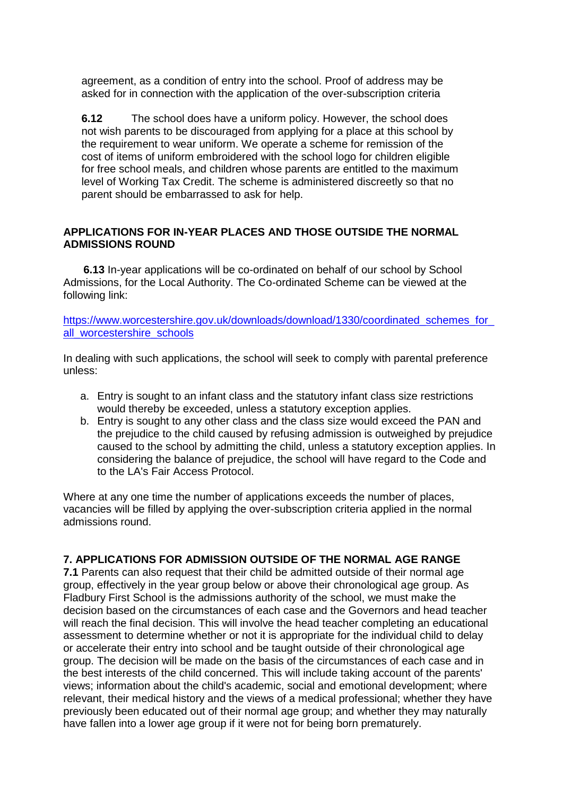agreement, as a condition of entry into the school. Proof of address may be asked for in connection with the application of the over-subscription criteria

**6.12** The school does have a uniform policy. However, the school does not wish parents to be discouraged from applying for a place at this school by the requirement to wear uniform. We operate a scheme for remission of the cost of items of uniform embroidered with the school logo for children eligible for free school meals, and children whose parents are entitled to the maximum level of Working Tax Credit. The scheme is administered discreetly so that no parent should be embarrassed to ask for help.

#### **APPLICATIONS FOR IN-YEAR PLACES AND THOSE OUTSIDE THE NORMAL ADMISSIONS ROUND**

**6.13** In-year applications will be co-ordinated on behalf of our school by School Admissions, for the Local Authority. The Co-ordinated Scheme can be viewed at the following link:

https://www.worcestershire.gov.uk/downloads/download/1330/coordinated\_schemes\_for all worcestershire schools

In dealing with such applications, the school will seek to comply with parental preference unless:

- a. Entry is sought to an infant class and the statutory infant class size restrictions would thereby be exceeded, unless a statutory exception applies.
- b. Entry is sought to any other class and the class size would exceed the PAN and the prejudice to the child caused by refusing admission is outweighed by prejudice caused to the school by admitting the child, unless a statutory exception applies. In considering the balance of prejudice, the school will have regard to the Code and to the LA's Fair Access Protocol.

Where at any one time the number of applications exceeds the number of places, vacancies will be filled by applying the over-subscription criteria applied in the normal admissions round.

#### **7. APPLICATIONS FOR ADMISSION OUTSIDE OF THE NORMAL AGE RANGE**

**7.1** Parents can also request that their child be admitted outside of their normal age group, effectively in the year group below or above their chronological age group. As Fladbury First School is the admissions authority of the school, we must make the decision based on the circumstances of each case and the Governors and head teacher will reach the final decision. This will involve the head teacher completing an educational assessment to determine whether or not it is appropriate for the individual child to delay or accelerate their entry into school and be taught outside of their chronological age group. The decision will be made on the basis of the circumstances of each case and in the best interests of the child concerned. This will include taking account of the parents' views; information about the child's academic, social and emotional development; where relevant, their medical history and the views of a medical professional; whether they have previously been educated out of their normal age group; and whether they may naturally have fallen into a lower age group if it were not for being born prematurely.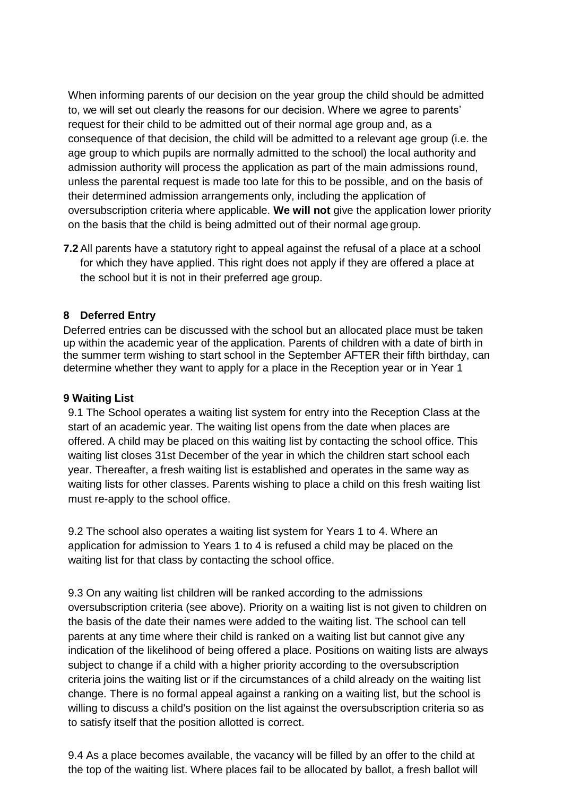When informing parents of our decision on the year group the child should be admitted to, we will set out clearly the reasons for our decision. Where we agree to parents' request for their child to be admitted out of their normal age group and, as a consequence of that decision, the child will be admitted to a relevant age group (i.e. the age group to which pupils are normally admitted to the school) the local authority and admission authority will process the application as part of the main admissions round, unless the parental request is made too late for this to be possible, and on the basis of their determined admission arrangements only, including the application of oversubscription criteria where applicable. **We will not** give the application lower priority on the basis that the child is being admitted out of their normal age group.

**7.2** All parents have a statutory right to appeal against the refusal of a place at a school for which they have applied. This right does not apply if they are offered a place at the school but it is not in their preferred age group.

## **8 Deferred Entry**

Deferred entries can be discussed with the school but an allocated place must be taken up within the academic year of the application. Parents of children with a date of birth in the summer term wishing to start school in the September AFTER their fifth birthday, can determine whether they want to apply for a place in the Reception year or in Year 1

#### **9 Waiting List**

9.1 The School operates a waiting list system for entry into the Reception Class at the start of an academic year. The waiting list opens from the date when places are offered. A child may be placed on this waiting list by contacting the school office. This waiting list closes 31st December of the year in which the children start school each year. Thereafter, a fresh waiting list is established and operates in the same way as waiting lists for other classes. Parents wishing to place a child on this fresh waiting list must re-apply to the school office.

9.2 The school also operates a waiting list system for Years 1 to 4. Where an application for admission to Years 1 to 4 is refused a child may be placed on the waiting list for that class by contacting the school office.

9.3 On any waiting list children will be ranked according to the admissions oversubscription criteria (see above). Priority on a waiting list is not given to children on the basis of the date their names were added to the waiting list. The school can tell parents at any time where their child is ranked on a waiting list but cannot give any indication of the likelihood of being offered a place. Positions on waiting lists are always subject to change if a child with a higher priority according to the oversubscription criteria joins the waiting list or if the circumstances of a child already on the waiting list change. There is no formal appeal against a ranking on a waiting list, but the school is willing to discuss a child's position on the list against the oversubscription criteria so as to satisfy itself that the position allotted is correct.

9.4 As a place becomes available, the vacancy will be filled by an offer to the child at the top of the waiting list. Where places fail to be allocated by ballot, a fresh ballot will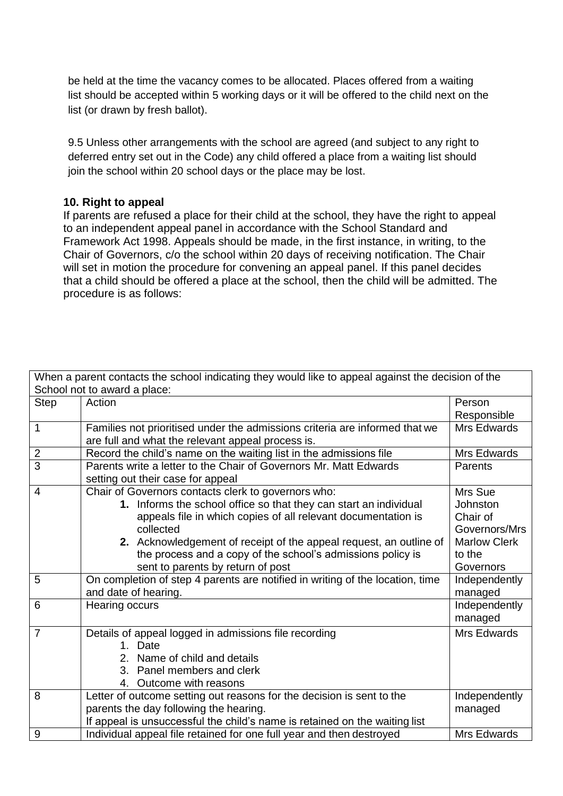be held at the time the vacancy comes to be allocated. Places offered from a waiting list should be accepted within 5 working days or it will be offered to the child next on the list (or drawn by fresh ballot).

9.5 Unless other arrangements with the school are agreed (and subject to any right to deferred entry set out in the Code) any child offered a place from a waiting list should join the school within 20 school days or the place may be lost.

### **10. Right to appeal**

If parents are refused a place for their child at the school, they have the right to appeal to an independent appeal panel in accordance with the School Standard and Framework Act 1998. Appeals should be made, in the first instance, in writing, to the Chair of Governors, c/o the school within 20 days of receiving notification. The Chair will set in motion the procedure for convening an appeal panel. If this panel decides that a child should be offered a place at the school, then the child will be admitted. The procedure is as follows:

| When a parent contacts the school indicating they would like to appeal against the decision of the |                                                                               |                     |
|----------------------------------------------------------------------------------------------------|-------------------------------------------------------------------------------|---------------------|
| School not to award a place:                                                                       |                                                                               |                     |
| <b>Step</b>                                                                                        | Action                                                                        | Person              |
|                                                                                                    |                                                                               | Responsible         |
| $\mathbf 1$                                                                                        | Families not prioritised under the admissions criteria are informed that we   | Mrs Edwards         |
|                                                                                                    | are full and what the relevant appeal process is.                             |                     |
| $\overline{2}$                                                                                     | Record the child's name on the waiting list in the admissions file            | Mrs Edwards         |
| $\overline{3}$                                                                                     | Parents write a letter to the Chair of Governors Mr. Matt Edwards             | Parents             |
|                                                                                                    | setting out their case for appeal                                             |                     |
| $\overline{4}$                                                                                     | Chair of Governors contacts clerk to governors who:                           | Mrs Sue             |
|                                                                                                    | 1. Informs the school office so that they can start an individual             | Johnston            |
|                                                                                                    | appeals file in which copies of all relevant documentation is                 | Chair of            |
|                                                                                                    | collected                                                                     | Governors/Mrs       |
|                                                                                                    | 2. Acknowledgement of receipt of the appeal request, an outline of            | <b>Marlow Clerk</b> |
|                                                                                                    | the process and a copy of the school's admissions policy is                   | to the              |
|                                                                                                    | sent to parents by return of post                                             | Governors           |
| 5                                                                                                  | On completion of step 4 parents are notified in writing of the location, time | Independently       |
|                                                                                                    | and date of hearing.                                                          | managed             |
| 6                                                                                                  | Hearing occurs                                                                | Independently       |
|                                                                                                    |                                                                               | managed             |
| $\overline{7}$                                                                                     | Details of appeal logged in admissions file recording                         | Mrs Edwards         |
|                                                                                                    | 1. Date                                                                       |                     |
|                                                                                                    | 2. Name of child and details                                                  |                     |
|                                                                                                    | 3. Panel members and clerk                                                    |                     |
|                                                                                                    | 4. Outcome with reasons                                                       |                     |
| 8                                                                                                  | Letter of outcome setting out reasons for the decision is sent to the         | Independently       |
|                                                                                                    | parents the day following the hearing.                                        | managed             |
|                                                                                                    | If appeal is unsuccessful the child's name is retained on the waiting list    |                     |
| 9                                                                                                  | Individual appeal file retained for one full year and then destroyed          | Mrs Edwards         |